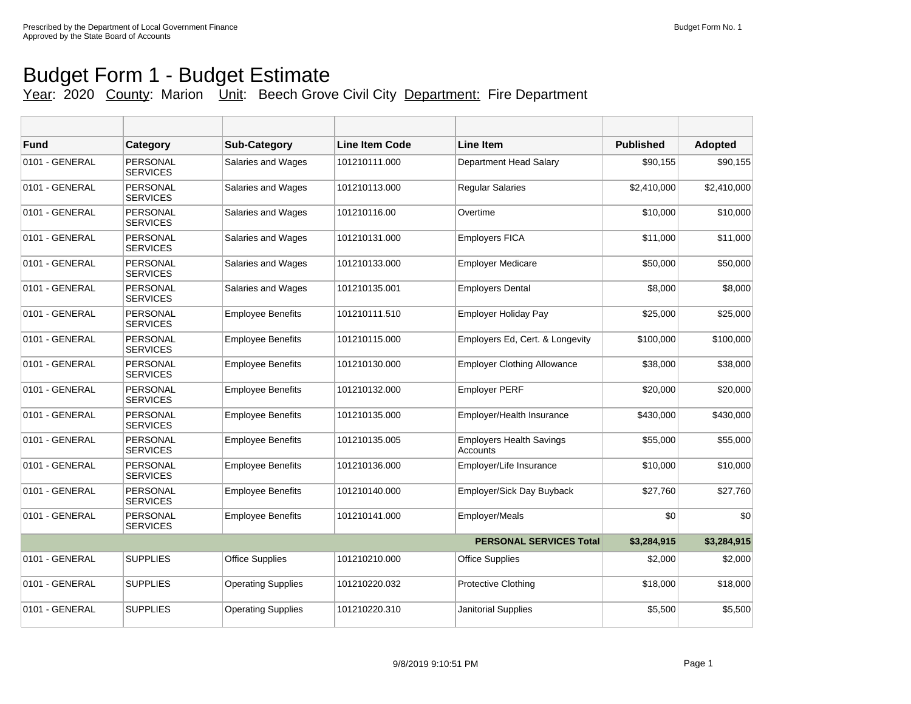## Budget Form 1 - Budget Estimate

## Year: 2020 County: Marion Unit: Beech Grove Civil City Department: Fire Department

| <b>Fund</b>    | Category                           | <b>Sub-Category</b>       | <b>Line Item Code</b> | Line Item                                   | <b>Published</b> | <b>Adopted</b> |
|----------------|------------------------------------|---------------------------|-----------------------|---------------------------------------------|------------------|----------------|
| 0101 - GENERAL | <b>PERSONAL</b><br><b>SERVICES</b> | Salaries and Wages        | 101210111.000         | Department Head Salary                      | \$90,155         | \$90,155       |
| 0101 - GENERAL | <b>PERSONAL</b><br><b>SERVICES</b> | <b>Salaries and Wages</b> | 101210113.000         | <b>Regular Salaries</b>                     | \$2,410,000      | \$2,410,000    |
| 0101 - GENERAL | PERSONAL<br><b>SERVICES</b>        | <b>Salaries and Wages</b> | 101210116.00          | Overtime                                    | \$10,000         | \$10,000       |
| 0101 - GENERAL | PERSONAL<br><b>SERVICES</b>        | Salaries and Wages        | 101210131.000         | <b>Employers FICA</b>                       | \$11,000         | \$11,000       |
| 0101 - GENERAL | PERSONAL<br><b>SERVICES</b>        | Salaries and Wages        | 101210133.000         | <b>Employer Medicare</b>                    | \$50,000         | \$50,000       |
| 0101 - GENERAL | PERSONAL<br><b>SERVICES</b>        | Salaries and Wages        | 101210135.001         | <b>Employers Dental</b>                     | \$8,000          | \$8,000        |
| 0101 - GENERAL | PERSONAL<br><b>SERVICES</b>        | <b>Employee Benefits</b>  | 101210111.510         | <b>Employer Holiday Pay</b>                 | \$25,000         | \$25,000       |
| 0101 - GENERAL | PERSONAL<br><b>SERVICES</b>        | <b>Employee Benefits</b>  | 101210115.000         | Employers Ed, Cert. & Longevity             | \$100,000        | \$100,000      |
| 0101 - GENERAL | <b>PERSONAL</b><br><b>SERVICES</b> | <b>Employee Benefits</b>  | 101210130.000         | <b>Employer Clothing Allowance</b>          | \$38,000         | \$38,000       |
| 0101 - GENERAL | <b>PERSONAL</b><br><b>SERVICES</b> | <b>Employee Benefits</b>  | 101210132.000         | <b>Employer PERF</b>                        | \$20,000         | \$20,000       |
| 0101 - GENERAL | PERSONAL<br><b>SERVICES</b>        | <b>Employee Benefits</b>  | 101210135.000         | Employer/Health Insurance                   | \$430,000        | \$430,000      |
| 0101 - GENERAL | <b>PERSONAL</b><br><b>SERVICES</b> | <b>Employee Benefits</b>  | 101210135.005         | <b>Employers Health Savings</b><br>Accounts | \$55,000         | \$55,000       |
| 0101 - GENERAL | <b>PERSONAL</b><br><b>SERVICES</b> | <b>Employee Benefits</b>  | 101210136.000         | Employer/Life Insurance                     | \$10,000         | \$10,000       |
| 0101 - GENERAL | PERSONAL<br><b>SERVICES</b>        | <b>Employee Benefits</b>  | 101210140.000         | Employer/Sick Day Buyback                   | \$27.760         | \$27,760       |
| 0101 - GENERAL | PERSONAL<br><b>SERVICES</b>        | <b>Employee Benefits</b>  | 101210141.000         | Employer/Meals                              | \$0              | \$0            |
|                |                                    |                           |                       | <b>PERSONAL SERVICES Total</b>              | \$3,284,915      | \$3,284,915    |
| 0101 - GENERAL | <b>SUPPLIES</b>                    | <b>Office Supplies</b>    | 101210210.000         | <b>Office Supplies</b>                      | \$2,000          | \$2,000        |
| 0101 - GENERAL | <b>SUPPLIES</b>                    | <b>Operating Supplies</b> | 101210220.032         | <b>Protective Clothing</b>                  | \$18,000         | \$18,000       |
| 0101 - GENERAL | <b>SUPPLIES</b>                    | <b>Operating Supplies</b> | 101210220.310         | Janitorial Supplies                         | \$5,500          | \$5,500        |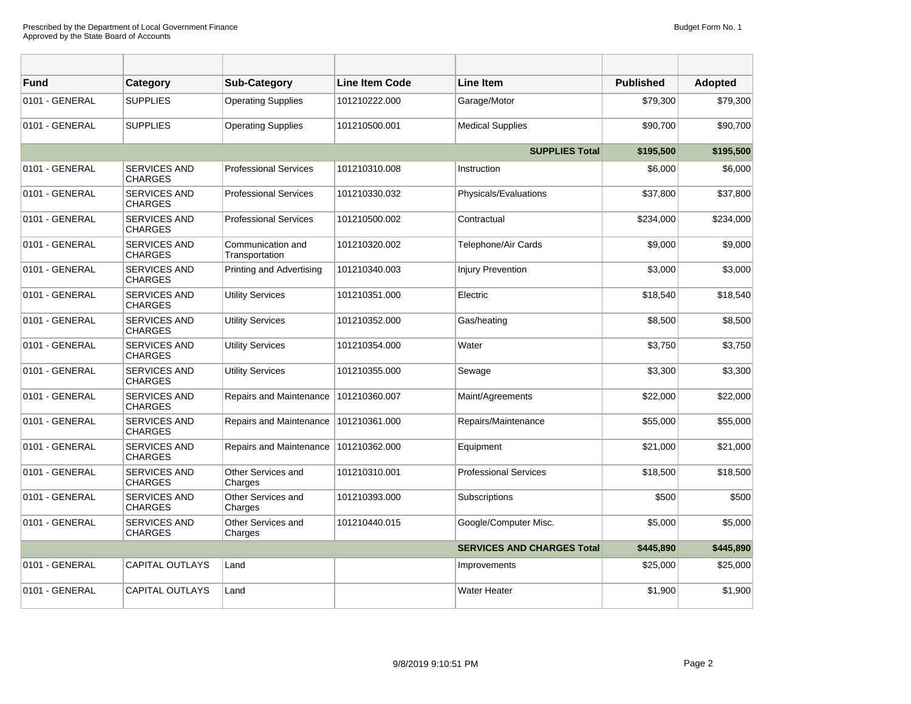| <b>Fund</b>    | Category                              | <b>Sub-Category</b>                 | Line Item Code | <b>Line Item</b>                  | <b>Published</b> | Adopted   |
|----------------|---------------------------------------|-------------------------------------|----------------|-----------------------------------|------------------|-----------|
| 0101 - GENERAL | <b>SUPPLIES</b>                       | <b>Operating Supplies</b>           | 101210222.000  | Garage/Motor                      | \$79,300         | \$79,300  |
| 0101 - GENERAL | <b>SUPPLIES</b>                       | <b>Operating Supplies</b>           | 101210500.001  | <b>Medical Supplies</b>           | \$90.700         | \$90,700  |
|                |                                       |                                     |                | <b>SUPPLIES Total</b>             | \$195,500        | \$195,500 |
| 0101 - GENERAL | <b>SERVICES AND</b><br><b>CHARGES</b> | <b>Professional Services</b>        | 101210310.008  | Instruction                       | \$6,000          | \$6,000   |
| 0101 - GENERAL | <b>SERVICES AND</b><br><b>CHARGES</b> | <b>Professional Services</b>        | 101210330.032  | Physicals/Evaluations             | \$37,800         | \$37,800  |
| 0101 - GENERAL | <b>SERVICES AND</b><br><b>CHARGES</b> | <b>Professional Services</b>        | 101210500.002  | Contractual                       | \$234,000        | \$234,000 |
| 0101 - GENERAL | <b>SERVICES AND</b><br><b>CHARGES</b> | Communication and<br>Transportation | 101210320.002  | Telephone/Air Cards               | \$9,000          | \$9,000   |
| 0101 - GENERAL | <b>SERVICES AND</b><br><b>CHARGES</b> | Printing and Advertising            | 101210340.003  | <b>Injury Prevention</b>          | \$3,000          | \$3,000   |
| 0101 - GENERAL | <b>SERVICES AND</b><br><b>CHARGES</b> | <b>Utility Services</b>             | 101210351.000  | Electric                          | \$18,540         | \$18,540  |
| 0101 - GENERAL | <b>SERVICES AND</b><br><b>CHARGES</b> | <b>Utility Services</b>             | 101210352.000  | Gas/heating                       | \$8,500          | \$8,500   |
| 0101 - GENERAL | <b>SERVICES AND</b><br><b>CHARGES</b> | <b>Utility Services</b>             | 101210354.000  | Water                             | \$3,750          | \$3,750   |
| 0101 - GENERAL | <b>SERVICES AND</b><br><b>CHARGES</b> | <b>Utility Services</b>             | 101210355.000  | Sewage                            | \$3,300          | \$3,300   |
| 0101 - GENERAL | <b>SERVICES AND</b><br><b>CHARGES</b> | Repairs and Maintenance             | 101210360.007  | Maint/Agreements                  | \$22,000         | \$22,000  |
| 0101 - GENERAL | <b>SERVICES AND</b><br><b>CHARGES</b> | Repairs and Maintenance             | 101210361.000  | Repairs/Maintenance               | \$55,000         | \$55,000  |
| 0101 - GENERAL | <b>SERVICES AND</b><br><b>CHARGES</b> | Repairs and Maintenance             | 101210362.000  | Equipment                         | \$21,000         | \$21,000  |
| 0101 - GENERAL | <b>SERVICES AND</b><br><b>CHARGES</b> | Other Services and<br>Charges       | 101210310.001  | <b>Professional Services</b>      | \$18,500         | \$18,500  |
| 0101 - GENERAL | <b>SERVICES AND</b><br><b>CHARGES</b> | Other Services and<br>Charges       | 101210393.000  | Subscriptions                     | \$500            | \$500     |
| 0101 - GENERAL | <b>SERVICES AND</b><br><b>CHARGES</b> | Other Services and<br>Charges       | 101210440.015  | Google/Computer Misc.             | \$5,000          | \$5,000   |
|                |                                       |                                     |                | <b>SERVICES AND CHARGES Total</b> | \$445,890        | \$445,890 |
| 0101 - GENERAL | CAPITAL OUTLAYS                       | Land                                |                | Improvements                      | \$25,000         | \$25,000  |
| 0101 - GENERAL | <b>CAPITAL OUTLAYS</b>                | Land                                |                | <b>Water Heater</b>               | \$1,900          | \$1,900   |